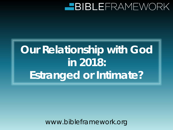# **Our Relationship with God in 2018: Estranged or Intimate?**

www.bibleframework.org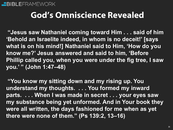### **God's Omniscience Revealed**

**"Jesus saw Nathaniel coming toward Him . . . said of him 'Behold an Israelite indeed, in whom is no deceit!' [says what is on his mind!] Nathaniel said to Him, 'How do you know me?' Jesus answered and said to him, 'Before Phillip called you, when you were under the fig tree, I saw you.' " (John 1:47–48)**

**"You know my sitting down and my rising up. You understand my thoughts. . . . You formed my inward parts. . . . When I was made in secret . . . your eyes saw my substance being yet unformed. And in Your book they were all written, the days fashioned for me when as yet there were none of them." (Ps 139:2, 13–16)**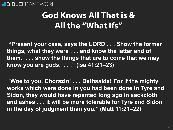### **God Knows All That is & All the "What Ifs"**

**"Present your case, says the LORD . . . Show the former things, what they were . . . and know the latter end of them. . . . show the things that are to come that we may know you are gods. . . ." (Isa 41:21–23)**

"**Woe to you, Chorazin! . . . Bethsaida! For if the mighty works which were done in you had been done in Tyre and Sidon, they would have repented long ago in sackcloth and ashes . . . it will be more tolerable for Tyre and Sidon in the day of judgment than you." (Matt 11:21–22)**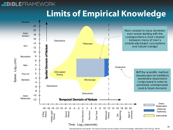### **Limits of Empirical Knowledge**



Reconstructed from Julio Garrido, "The Theory of Evolution and the Limitation of Human Knowledge," CRSQ, March 1970, Vol 6, pp. 185-187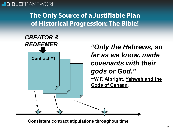### **The Only Source of a Justifiable Plan of Historical Progression: The Bible!**



**Consistent contract stipulations throughout time**